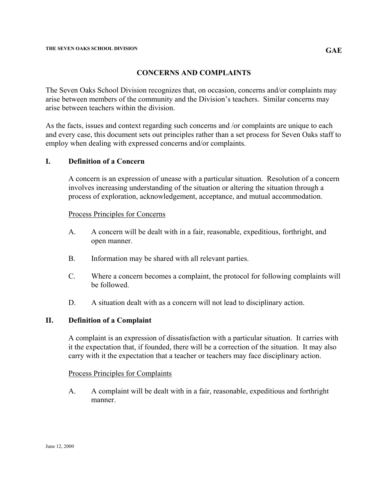# **CONCERNS AND COMPLAINTS**

The Seven Oaks School Division recognizes that, on occasion, concerns and/or complaints may arise between members of the community and the Division's teachers. Similar concerns may arise between teachers within the division.

As the facts, issues and context regarding such concerns and /or complaints are unique to each and every case, this document sets out principles rather than a set process for Seven Oaks staff to employ when dealing with expressed concerns and/or complaints.

## **I. Definition of a Concern**

 A concern is an expression of unease with a particular situation. Resolution of a concern involves increasing understanding of the situation or altering the situation through a process of exploration, acknowledgement, acceptance, and mutual accommodation.

### Process Principles for Concerns

- A. A concern will be dealt with in a fair, reasonable, expeditious, forthright, and open manner.
- B. Information may be shared with all relevant parties.
- C. Where a concern becomes a complaint, the protocol for following complaints will be followed.
- D. A situation dealt with as a concern will not lead to disciplinary action.

## **II. Definition of a Complaint**

 A complaint is an expression of dissatisfaction with a particular situation. It carries with it the expectation that, if founded, there will be a correction of the situation. It may also carry with it the expectation that a teacher or teachers may face disciplinary action.

### Process Principles for Complaints

A. A complaint will be dealt with in a fair, reasonable, expeditious and forthright manner.